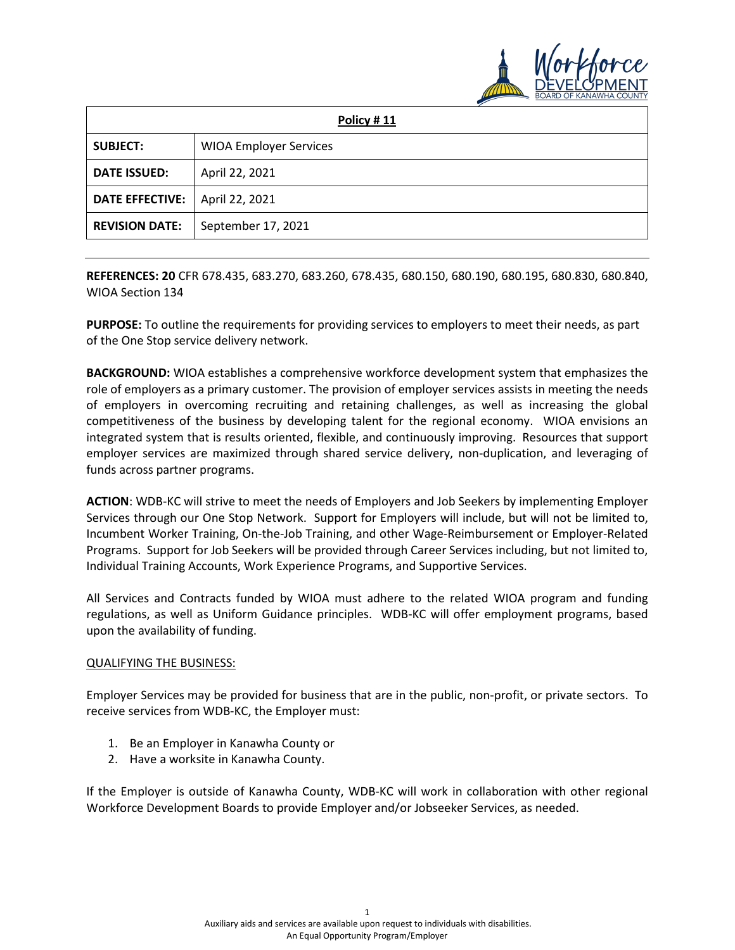

| Policy #11             |                               |
|------------------------|-------------------------------|
| <b>SUBJECT:</b>        | <b>WIOA Employer Services</b> |
| <b>DATE ISSUED:</b>    | April 22, 2021                |
| <b>DATE EFFECTIVE:</b> | April 22, 2021                |
| <b>REVISION DATE:</b>  | September 17, 2021            |

**REFERENCES: 20** CFR 678.435, 683.270, 683.260, 678.435, 680.150, 680.190, 680.195, 680.830, 680.840, WIOA Section 134

**PURPOSE:** To outline the requirements for providing services to employers to meet their needs, as part of the One Stop service delivery network.

**BACKGROUND:** WIOA establishes a comprehensive workforce development system that emphasizes the role of employers as a primary customer. The provision of employer services assists in meeting the needs of employers in overcoming recruiting and retaining challenges, as well as increasing the global competitiveness of the business by developing talent for the regional economy. WIOA envisions an integrated system that is results oriented, flexible, and continuously improving. Resources that support employer services are maximized through shared service delivery, non-duplication, and leveraging of funds across partner programs.

**ACTION**: WDB-KC will strive to meet the needs of Employers and Job Seekers by implementing Employer Services through our One Stop Network. Support for Employers will include, but will not be limited to, Incumbent Worker Training, On-the-Job Training, and other Wage-Reimbursement or Employer-Related Programs. Support for Job Seekers will be provided through Career Services including, but not limited to, Individual Training Accounts, Work Experience Programs, and Supportive Services.

All Services and Contracts funded by WIOA must adhere to the related WIOA program and funding regulations, as well as Uniform Guidance principles. WDB-KC will offer employment programs, based upon the availability of funding.

#### QUALIFYING THE BUSINESS:

Employer Services may be provided for business that are in the public, non-profit, or private sectors. To receive services from WDB-KC, the Employer must:

- 1. Be an Employer in Kanawha County or
- 2. Have a worksite in Kanawha County.

If the Employer is outside of Kanawha County, WDB-KC will work in collaboration with other regional Workforce Development Boards to provide Employer and/or Jobseeker Services, as needed.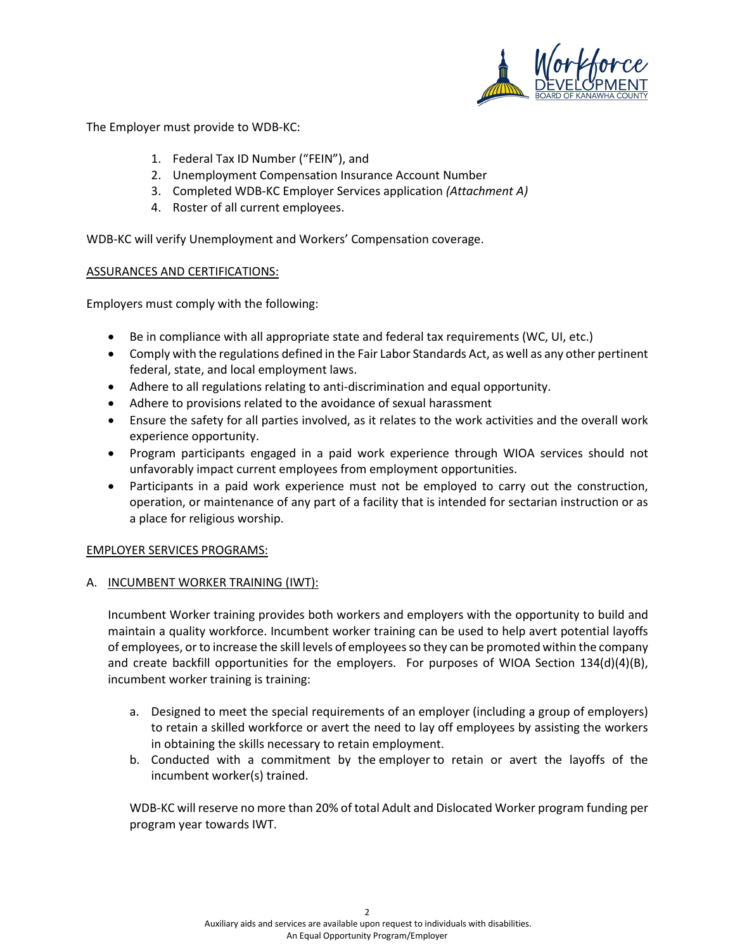

The Employer must provide to WDB-KC:

- 1. Federal Tax ID Number ("FEIN"), and
- 2. Unemployment Compensation Insurance Account Number
- 3. Completed WDB-KC Employer Services application *(Attachment A)*
- 4. Roster of all current employees.

WDB-KC will verify Unemployment and Workers' Compensation coverage.

### ASSURANCES AND CERTIFICATIONS:

Employers must comply with the following:

- Be in compliance with all appropriate state and federal tax requirements (WC, UI, etc.)
- Comply with the regulations defined in the Fair Labor Standards Act, as well as any other pertinent federal, state, and local employment laws.
- Adhere to all regulations relating to anti-discrimination and equal opportunity.
- Adhere to provisions related to the avoidance of sexual harassment
- Ensure the safety for all parties involved, as it relates to the work activities and the overall work experience opportunity.
- Program participants engaged in a paid work experience through WIOA services should not unfavorably impact current employees from employment opportunities.
- Participants in a paid work experience must not be employed to carry out the construction, operation, or maintenance of any part of a facility that is intended for sectarian instruction or as a place for religious worship.

## EMPLOYER SERVICES PROGRAMS:

## A. INCUMBENT WORKER TRAINING (IWT):

Incumbent Worker training provides both workers and employers with the opportunity to build and maintain a quality workforce. Incumbent worker training can be used to help avert potential layoffs of employees, or to increase the skill levels of employees so they can be promoted within the company and create backfill opportunities for the employers. For purposes of WIOA Section 134(d)(4)(B), incumbent worker training is training:

- a. Designed to meet the special requirements of an employer (including a group of employers) to retain a skilled workforce or avert the need to lay off employees by assisting the workers in obtaining the skills necessary to retain employment.
- b. Conducted with a commitment by the employer to retain or avert the layoffs of the incumbent worker(s) trained.

WDB-KC will reserve no more than 20% of total Adult and Dislocated Worker program funding per program year towards IWT.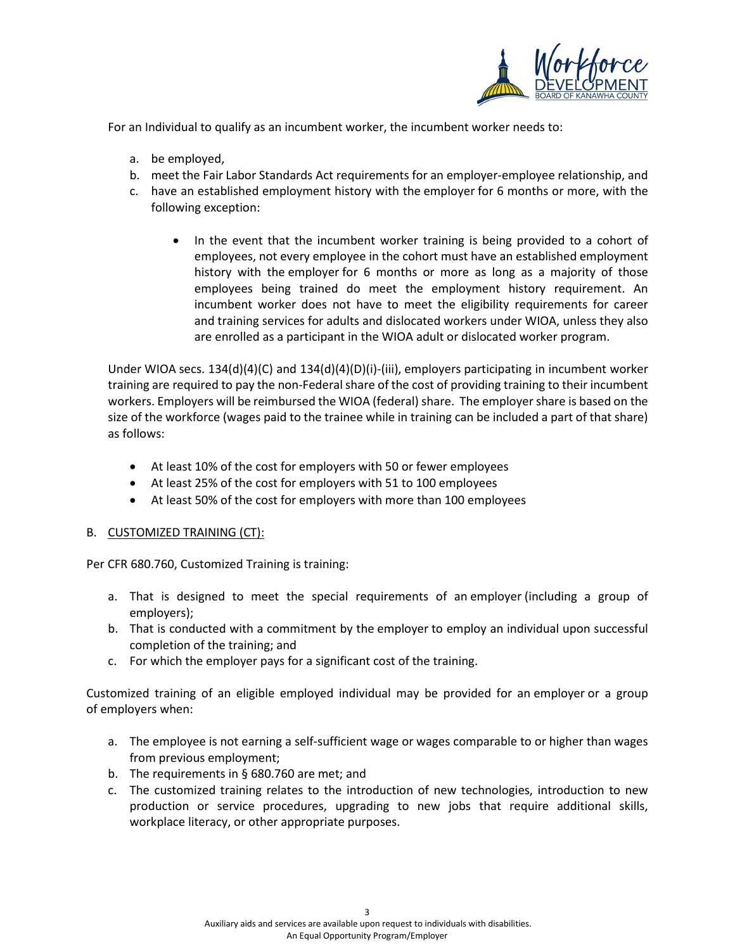

For an Individual to qualify as an incumbent worker, the incumbent worker needs to:

- a. be employed,
- b. meet the Fair Labor Standards Act requirements for an employer-employee relationship, and
- c. have an established employment history with the employer for 6 months or more, with the following exception:
	- In the event that the incumbent worker training is being provided to a cohort of employees, not every employee in the cohort must have an established employment history with the employer for 6 months or more as long as a majority of those employees being trained do meet the employment history requirement. An incumbent worker does not have to meet the eligibility requirements for career and training services for adults and dislocated workers under WIOA, unless they also are enrolled as a participant in the WIOA adult or dislocated worker program.

Under WIOA secs. 134(d)(4)(C) and 134(d)(4)(D)(i)-(iii), employers participating in incumbent worker training are required to pay the non-Federal share of the cost of providing training to their incumbent workers. Employers will be reimbursed the WIOA (federal) share. The employer share is based on the size of the workforce (wages paid to the trainee while in training can be included a part of that share) as follows:

- At least 10% of the cost for employers with 50 or fewer employees
- At least 25% of the cost for employers with 51 to 100 employees
- At least 50% of the cost for employers with more than 100 employees

## B. CUSTOMIZED TRAINING (CT):

Per CFR 680.760, Customized Training is training:

- a. That is designed to meet the special requirements of an employer (including a group of employers);
- b. That is conducted with a commitment by the employer to employ an individual upon successful completion of the training; and
- c. For which the employer pays for a significant cost of the training.

Customized training of an eligible employed individual may be provided for an employer or a group of employers when:

- a. The employee is not earning a self-sufficient wage or wages comparable to or higher than wages from previous employment;
- b. The requirements in § 680.760 are met; and
- c. The customized training relates to the introduction of new technologies, introduction to new production or service procedures, upgrading to new jobs that require additional skills, workplace literacy, or other appropriate purposes.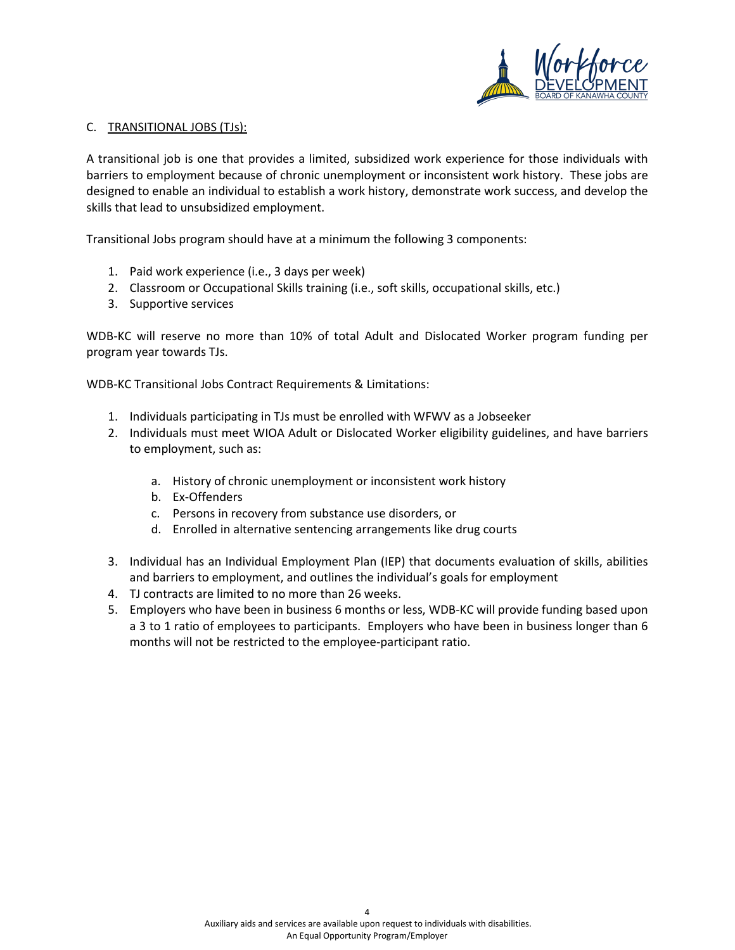

#### C. TRANSITIONAL JOBS (TJs):

A transitional job is one that provides a limited, subsidized work experience for those individuals with barriers to employment because of chronic unemployment or inconsistent work history. These jobs are designed to enable an individual to establish a work history, demonstrate work success, and develop the skills that lead to unsubsidized employment.

Transitional Jobs program should have at a minimum the following 3 components:

- 1. Paid work experience (i.e., 3 days per week)
- 2. Classroom or Occupational Skills training (i.e., soft skills, occupational skills, etc.)
- 3. Supportive services

WDB-KC will reserve no more than 10% of total Adult and Dislocated Worker program funding per program year towards TJs.

WDB-KC Transitional Jobs Contract Requirements & Limitations:

- 1. Individuals participating in TJs must be enrolled with WFWV as a Jobseeker
- 2. Individuals must meet WIOA Adult or Dislocated Worker eligibility guidelines, and have barriers to employment, such as:
	- a. History of chronic unemployment or inconsistent work history
	- b. Ex-Offenders
	- c. Persons in recovery from substance use disorders, or
	- d. Enrolled in alternative sentencing arrangements like drug courts
- 3. Individual has an Individual Employment Plan (IEP) that documents evaluation of skills, abilities and barriers to employment, and outlines the individual's goals for employment
- 4. TJ contracts are limited to no more than 26 weeks.
- 5. Employers who have been in business 6 months or less, WDB-KC will provide funding based upon a 3 to 1 ratio of employees to participants. Employers who have been in business longer than 6 months will not be restricted to the employee-participant ratio.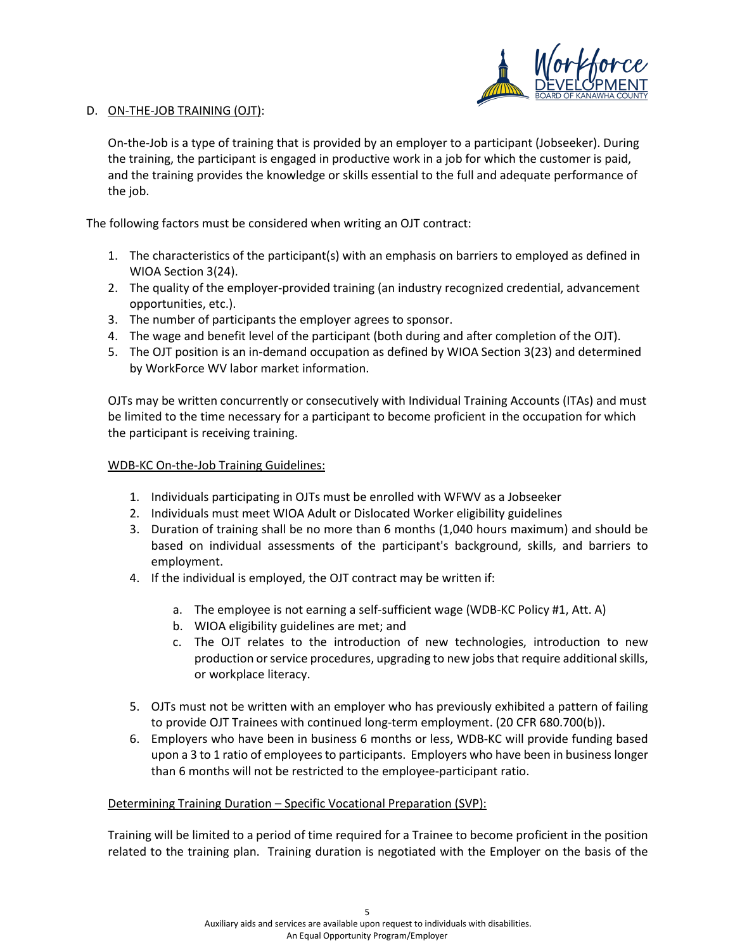

### D. ON-THE-JOB TRAINING (OJT):

On-the-Job is a type of training that is provided by an employer to a participant (Jobseeker). During the training, the participant is engaged in productive work in a job for which the customer is paid, and the training provides the knowledge or skills essential to the full and adequate performance of the job.

The following factors must be considered when writing an OJT contract:

- 1. The characteristics of the participant(s) with an emphasis on barriers to employed as defined in WIOA Section 3(24).
- 2. The quality of the employer-provided training (an industry recognized credential, advancement opportunities, etc.).
- 3. The number of participants the employer agrees to sponsor.
- 4. The wage and benefit level of the participant (both during and after completion of the OJT).
- 5. The OJT position is an in-demand occupation as defined by WIOA Section 3(23) and determined by WorkForce WV labor market information.

OJTs may be written concurrently or consecutively with Individual Training Accounts (ITAs) and must be limited to the time necessary for a participant to become proficient in the occupation for which the participant is receiving training.

## WDB-KC On-the-Job Training Guidelines:

- 1. Individuals participating in OJTs must be enrolled with WFWV as a Jobseeker
- 2. Individuals must meet WIOA Adult or Dislocated Worker eligibility guidelines
- 3. Duration of training shall be no more than 6 months (1,040 hours maximum) and should be based on individual assessments of the participant's background, skills, and barriers to employment.
- 4. If the individual is employed, the OJT contract may be written if:
	- a. The employee is not earning a self-sufficient wage (WDB-KC Policy #1, Att. A)
	- b. WIOA eligibility guidelines are met; and
	- c. The OJT relates to the introduction of new technologies, introduction to new production or service procedures, upgrading to new jobs that require additional skills, or workplace literacy.
- 5. OJTs must not be written with an employer who has previously exhibited a pattern of failing to provide OJT Trainees with continued long-term employment. (20 CFR 680.700(b)).
- 6. Employers who have been in business 6 months or less, WDB-KC will provide funding based upon a 3 to 1 ratio of employees to participants. Employers who have been in business longer than 6 months will not be restricted to the employee-participant ratio.

## Determining Training Duration - Specific Vocational Preparation (SVP):

Training will be limited to a period of time required for a Trainee to become proficient in the position related to the training plan. Training duration is negotiated with the Employer on the basis of the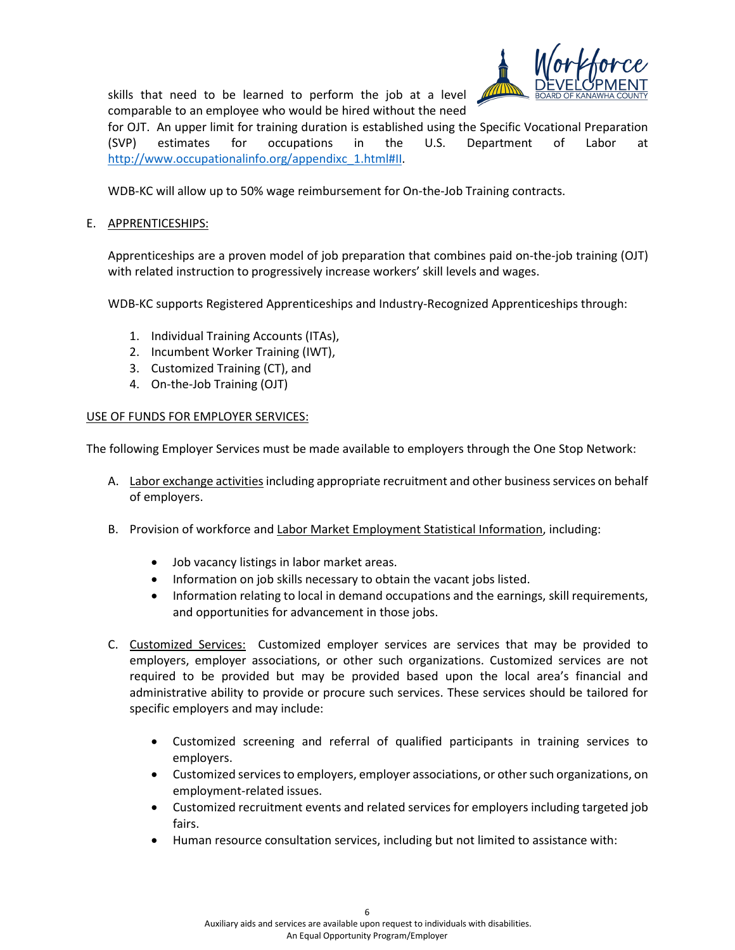skills that need to be learned to perform the job at a level comparable to an employee who would be hired without the need



for OJT. An upper limit for training duration is established using the Specific Vocational Preparation (SVP) estimates for occupations in the U.S. Department of Labor at [http://www.occupationalinfo.org/appendixc\\_1.html#II.](http://www.occupationalinfo.org/appendixc_1.html#II)

WDB-KC will allow up to 50% wage reimbursement for On-the-Job Training contracts.

# E. APPRENTICESHIPS:

Apprenticeships are a proven model of job preparation that combines paid on-the-job training (OJT) with related instruction to progressively increase workers' skill levels and wages.

WDB-KC supports Registered Apprenticeships and Industry-Recognized Apprenticeships through:

- 1. Individual Training Accounts (ITAs),
- 2. Incumbent Worker Training (IWT),
- 3. Customized Training (CT), and
- 4. On-the-Job Training (OJT)

## USE OF FUNDS FOR EMPLOYER SERVICES:

The following Employer Services must be made available to employers through the One Stop Network:

- A. Labor exchange activities including appropriate recruitment and other business services on behalf of employers.
- B. Provision of workforce and Labor Market Employment Statistical Information, including:
	- Job vacancy listings in labor market areas.
	- Information on job skills necessary to obtain the vacant jobs listed.
	- Information relating to local in demand occupations and the earnings, skill requirements, and opportunities for advancement in those jobs.
- C. Customized Services: Customized employer services are services that may be provided to employers, employer associations, or other such organizations. Customized services are not required to be provided but may be provided based upon the local area's financial and administrative ability to provide or procure such services. These services should be tailored for specific employers and may include:
	- Customized screening and referral of qualified participants in training services to employers.
	- Customized services to employers, employer associations, or other such organizations, on employment-related issues.
	- Customized recruitment events and related services for employers including targeted job fairs.
	- Human resource consultation services, including but not limited to assistance with: